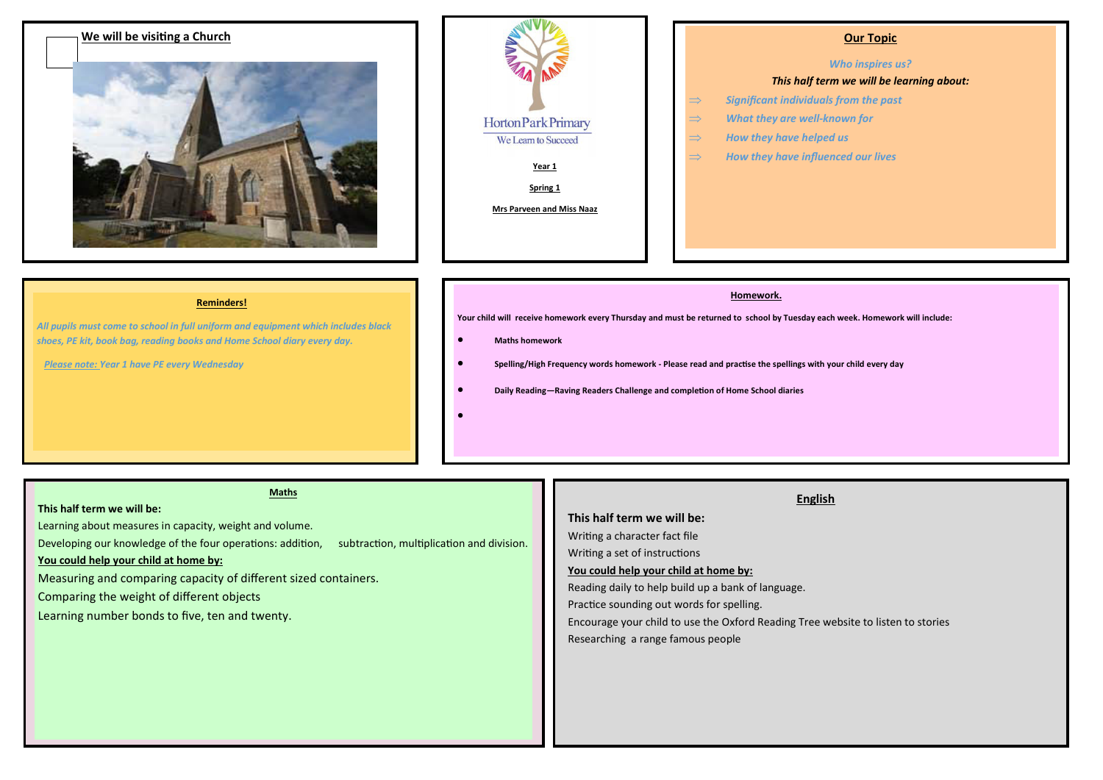

| Horton Park Primary       |  |
|---------------------------|--|
| We Learn to Succeed       |  |
| Year 1                    |  |
| Spring 1                  |  |
| Mrs Parveen and Miss Naaz |  |
|                           |  |
|                           |  |

### *Who inspires us?*

### *This half term we will be learning about:*

- *Significant individuals from the past*
- *What they are well-known for*
- *How they have helped us*
- $\Rightarrow$  How they have influenced our lives

#### **Reminders!**

*All pupils must come to school in full uniform and equipment which includes black shoes, PE kit, book bag, reading books and Home School diary every day.* 

 *Please note: Year 1 have PE every Wednesday*

#### **Homework.**

**Your child will receive homework every Thursday and must be returned to school by Tuesday each week. Homework will include:** 

#### **Maths homework**

- **Spelling/High Frequency words homework - Please read and practise the spellings with your child every day**
- **Daily Reading—Raving Readers Challenge and completion of Home School diaries**
- $\bullet$

#### **Maths**

#### **This half term we will be:**

Learning about measures in capacity, weight and volume.

Developing our knowledge of the four operations: addition, subtraction, multiplication and division.

#### **You could help your child at home by:**

Measuring and comparing capacity of different sized containers.

Comparing the weight of different objects

Learning number bonds to five, ten and twenty.

# **English**

**This half term we will be:**  Writing a character fact file Writing a set of instructions **You could help your child at home by:**

Reading daily to help build up a bank of language.

Practice sounding out words for spelling.

Encourage your child to use the Oxford Reading Tree website to listen to stories

Researching a range famous people